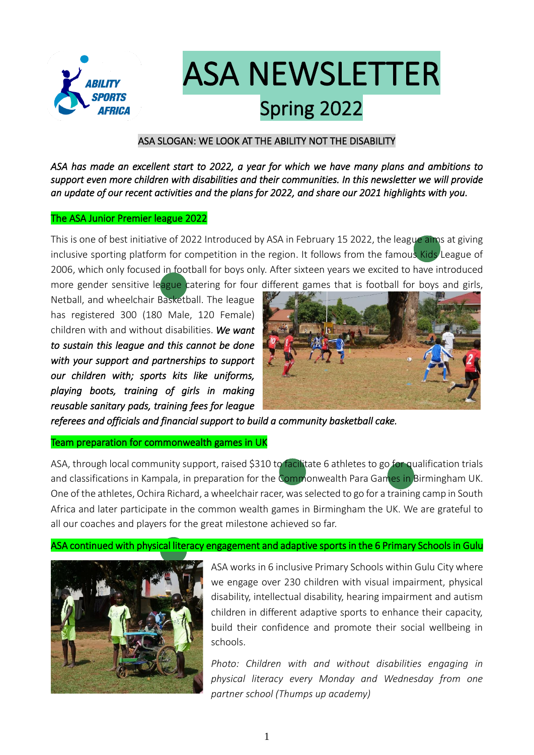

# ASA NEWSLETTER Spring 2022

#### ASA SLOGAN: WE LOOK AT THE ABILITY NOT THE DISABILITY

*ASA has made an excellent start to 2022, a year for which we have many plans and ambitions to support even more children with disabilities and their communities. In this newsletter we will provide an update of our recent activities and the plans for 2022, and share our 2021 highlights with you.* 

#### The ASA Junior Premier league 2022

This is one of best initiative of 2022 Introduced by ASA in February 15 2022, the league aims at giving inclusive sporting platform for competition in the region. It follows from the famous Kids League of 2006, which only focused in football for boys only. After sixteen years we excited to have introduced

Netball, and wheelchair Basketball. The league has registered 300 (180 Male, 120 Female) children with and without disabilities. *We want to sustain this league and this cannot be done with your support and partnerships to support our children with; sports kits like uniforms, playing boots, training of girls in making reusable sanitary pads, training fees for league* 



*referees and officials and financial support to build a community basketball cake.* 

#### Team preparation for commonwealth games in UK

ASA, through local community support, raised \$310 to facilitate 6 athletes to go for qualification trials and classifications in Kampala, in preparation for the Commonwealth Para Games in Birmingham UK. One of the athletes, Ochira Richard, a wheelchair racer, was selected to go for a training camp in South Africa and later participate in the common wealth games in Birmingham the UK. We are grateful to all our coaches and players for the great milestone achieved so far.

ASA continued with physical literacy engagement and adaptive sports in the 6 Primary Schools in Gulu



ASA works in 6 inclusive Primary Schools within Gulu City where we engage over 230 children with visual impairment, physical disability, intellectual disability, hearing impairment and autism children in different adaptive sports to enhance their capacity, build their confidence and promote their social wellbeing in schools.

*Photo: Children with and without disabilities engaging in physical literacy every Monday and Wednesday from one partner school (Thumps up academy)*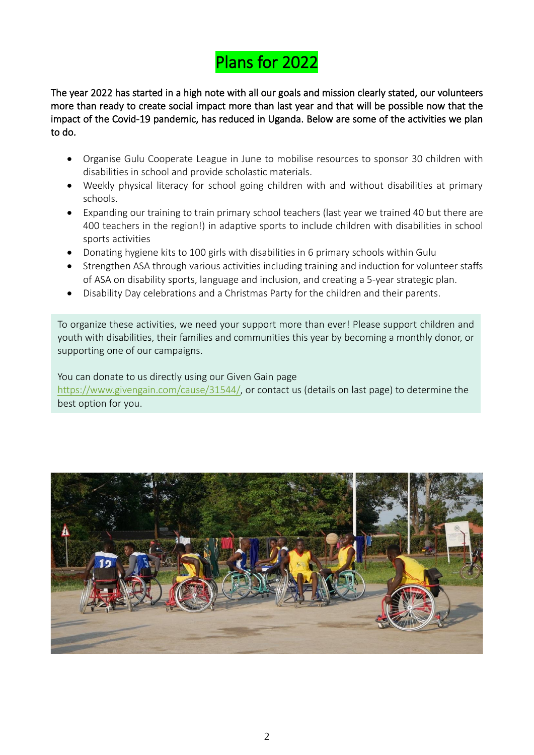## Plans for 2022

The year 2022 has started in a high note with all our goals and mission clearly stated, our volunteers more than ready to create social impact more than last year and that will be possible now that the impact of the Covid-19 pandemic, has reduced in Uganda. Below are some of the activities we plan to do.

- Organise Gulu Cooperate League in June to mobilise resources to sponsor 30 children with disabilities in school and provide scholastic materials.
- Weekly physical literacy for school going children with and without disabilities at primary schools.
- Expanding our training to train primary school teachers (last year we trained 40 but there are 400 teachers in the region!) in adaptive sports to include children with disabilities in school sports activities
- Donating hygiene kits to 100 girls with disabilities in 6 primary schools within Gulu
- Strengthen ASA through various activities including training and induction for volunteer staffs of ASA on disability sports, language and inclusion, and creating a 5-year strategic plan.
- Disability Day celebrations and a Christmas Party for the children and their parents.

To organize these activities, we need your support more than ever! Please support children and youth with disabilities, their families and communities this year by becoming a monthly donor, or supporting one of our campaigns.

You can donate to us directly using our Given Gain page [https://www.givengain.com/cause/31544/,](https://www.givengain.com/cause/31544/) or contact us (details on last page) to determine the best option for you.

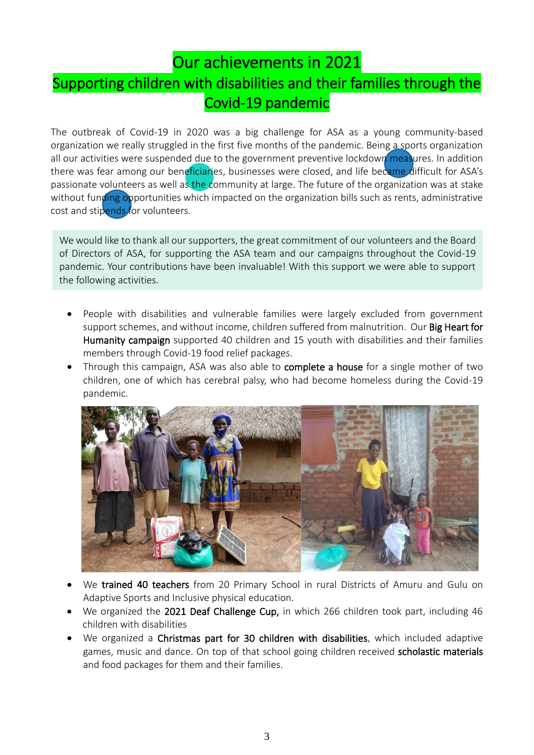### Our achievements in 2021 Supporting children with disabilities and their families through the Covid-19 pandemic

The outbreak of Covid-19 in 2020 was a big challenge for ASA as a young community-based organization we really struggled in the first five months of the pandemic. Being a sports organization all our activities were suspended due to the government preventive lockdown measures. In addition there was fear among our beneficiaries, businesses were closed, and life became difficult for ASA's passionate volunteers as well as the community at large. The future of the organization was at stake without funding opportunities which impacted on the organization bills such as rents, administrative cost and stipends for volunteers.

We would like to thank all our supporters, the great commitment of our volunteers and the Board of Directors of ASA, for supporting the ASA team and our campaigns throughout the Covid-19 pandemic. Your contributions have been invaluable! With this support we were able to support the following activities.

- People with disabilities and vulnerable families were largely excluded from government support schemes, and without income, children suffered from malnutrition. Our Big Heart for Humanity campaign supported 40 children and 15 youth with disabilities and their families members through Covid-19 food relief packages.
- Through this campaign, ASA was also able to complete a house for a single mother of two children, one of which has cerebral palsy, who had become homeless during the Covid-19 pandemic.



- We trained 40 teachers from 20 Primary School in rural Districts of Amuru and Gulu on Adaptive Sports and Inclusive physical education.
- We organized the 2021 Deaf Challenge Cup, in which 266 children took part, including 46 children with disabilities
- We organized a Christmas part for 30 children with disabilities, which included adaptive games, music and dance. On top of that school going children received scholastic materials and food packages for them and their families.